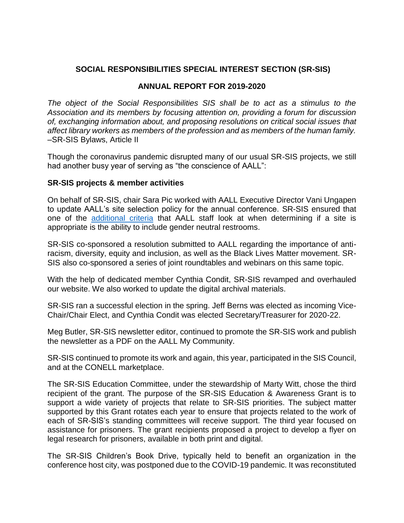## **SOCIAL RESPONSIBILITIES SPECIAL INTEREST SECTION (SR-SIS)**

## **ANNUAL REPORT FOR 2019-2020**

*The object of the Social Responsibilities SIS shall be to act as a stimulus to the Association and its members by focusing attention on, providing a forum for discussion of, exchanging information about, and proposing resolutions on critical social issues that affect library workers as members of the profession and as members of the human family.*  –SR-SIS Bylaws, Article II

Though the coronavirus pandemic disrupted many of our usual SR-SIS projects, we still had another busy year of serving as "the conscience of AALL":

## **SR-SIS projects & member activities**

On behalf of SR-SIS, chair Sara Pic worked with AALL Executive Director Vani Ungapen to update AALL's site selection policy for the annual conference. SR-SIS ensured that one of the [additional criteria](https://www.aallnet.org/wp-content/uploads/2019/10/Additional-Facility-Criteria-for-Site-Selection-AALLNET.pdf) that AALL staff look at when determining if a site is appropriate is the ability to include gender neutral restrooms.

SR-SIS co-sponsored a resolution submitted to AALL regarding the importance of antiracism, diversity, equity and inclusion, as well as the Black Lives Matter movement. SR-SIS also co-sponsored a series of joint roundtables and webinars on this same topic.

With the help of dedicated member Cynthia Condit, SR-SIS revamped and overhauled our website. We also worked to update the digital archival materials.

SR-SIS ran a successful election in the spring. Jeff Berns was elected as incoming Vice-Chair/Chair Elect, and Cynthia Condit was elected Secretary/Treasurer for 2020-22.

Meg Butler, SR-SIS newsletter editor, continued to promote the SR-SIS work and publish the newsletter as a PDF on the AALL My Community.

SR-SIS continued to promote its work and again, this year, participated in the SIS Council, and at the CONELL marketplace.

The SR-SIS Education Committee, under the stewardship of Marty Witt, chose the third recipient of the grant. The purpose of the SR-SIS Education & Awareness Grant is to support a wide variety of projects that relate to SR-SIS priorities. The subject matter supported by this Grant rotates each year to ensure that projects related to the work of each of SR-SIS's standing committees will receive support. The third year focused on assistance for prisoners. The grant recipients proposed a project to develop a flyer on legal research for prisoners, available in both print and digital.

The SR-SIS Children's Book Drive, typically held to benefit an organization in the conference host city, was postponed due to the COVID-19 pandemic. It was reconstituted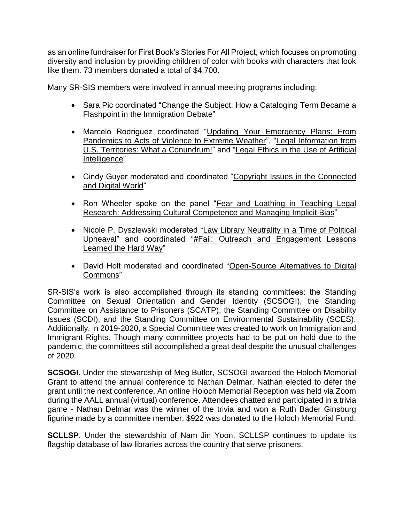as an online fundraiser for First Book's Stories For All Project, which focuses on promoting diversity and inclusion by providing children of color with books with characters that look like them. 73 members donated a total of \$4,700.

Many SR-SIS members were involved in annual meeting programs including:

- Sara Pic coordinated "Change the Subject: How a Cataloging Term Became a Flashpoint in the Immigration Debate"
- Marcelo Rodriguez coordinated "Updating Your Emergency Plans: From Pandemics to Acts of Violence to Extreme Weather", "Legal Information from U.S. Territories: What a Conundrum!" and "Legal Ethics in the Use of Artificial Intelligence"
- Cindy Guyer moderated and coordinated "Copyright Issues in the Connected and Digital World"
- Ron Wheeler spoke on the panel "Fear and Loathing in Teaching Legal Research: Addressing Cultural Competence and Managing Implicit Bias"
- Nicole P. Dyszlewski moderated "Law Library Neutrality in a Time of Political Upheaval" and coordinated "#Fail: Outreach and Engagement Lessons Learned the Hard Way"
- David Holt moderated and coordinated "Open-Source Alternatives to Digital Commons"

SR-SIS's work is also accomplished through its standing committees: the Standing Committee on Sexual Orientation and Gender Identity (SCSOGI), the Standing Committee on Assistance to Prisoners (SCATP), the Standing Committee on Disability Issues (SCDI), and the Standing Committee on Environmental Sustainability (SCES). Additionally, in 2019-2020, a Special Committee was created to work on Immigration and Immigrant Rights. Though many committee projects had to be put on hold due to the pandemic, the committees still accomplished a great deal despite the unusual challenges of 2020.

**SCSOGI**. Under the stewardship of Meg Butler, SCSOGI awarded the Holoch Memorial Grant to attend the annual conference to Nathan Delmar. Nathan elected to defer the grant until the next conference. An online Holoch Memorial Reception was held via Zoom during the AALL annual (virtual) conference. Attendees chatted and participated in a trivia game - Nathan Delmar was the winner of the trivia and won a Ruth Bader Ginsburg figurine made by a committee member. \$922 was donated to the Holoch Memorial Fund.

**SCLLSP**. Under the stewardship of Nam Jin Yoon, SCLLSP continues to update its flagship database of law libraries across the country that serve prisoners.